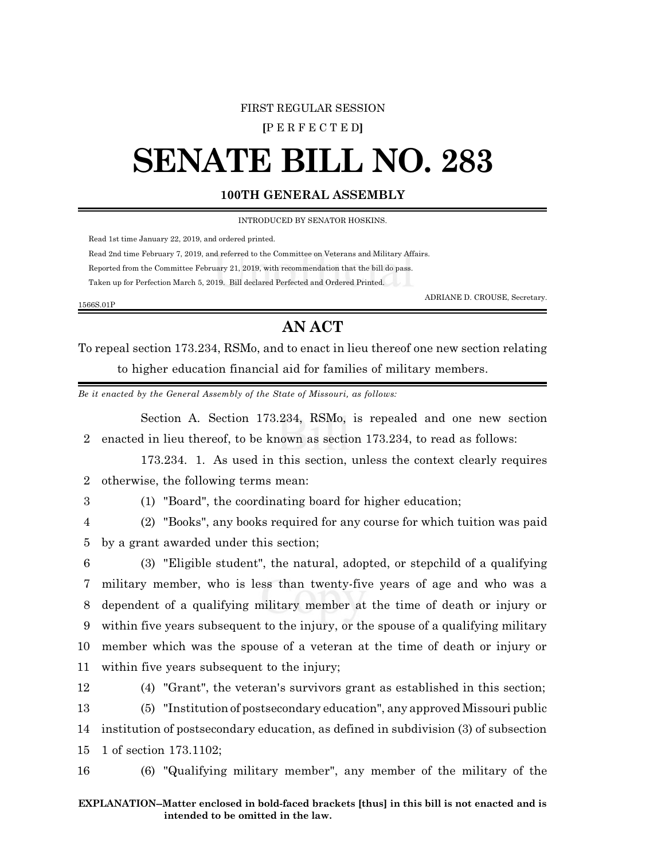#### FIRST REGULAR SESSION

**[**P E R F E C T E D**]**

# **SENATE BILL NO. 283**

### **100TH GENERAL ASSEMBLY**

INTRODUCED BY SENATOR HOSKINS.

Read 1st time January 22, 2019, and ordered printed.

Read 2nd time February 7, 2019, and referred to the Committee on Veterans and Military Affairs.

Reported from the Committee February 21, 2019, with recommendation that the bill do pass.

Taken up for Perfection March 5, 2019. Bill declared Perfected and Ordered Printed.

ADRIANE D. CROUSE, Secretary.

## **AN ACT**

To repeal section 173.234, RSMo, and to enact in lieu thereof one new section relating to higher education financial aid for families of military members.

*Be it enacted by the General Assembly of the State of Missouri, as follows:*

Section A. Section 173.234, RSMo, is repealed and one new section 2 enacted in lieu thereof, to be known as section 173.234, to read as follows:

173.234. 1. As used in this section, unless the context clearly requires 2 otherwise, the following terms mean:

1566S.01P

3 (1) "Board", the coordinating board for higher education;

4 (2) "Books", any books required for any course for which tuition was paid 5 by a grant awarded under this section;

 (3) "Eligible student", the natural, adopted, or stepchild of a qualifying military member, who is less than twenty-five years of age and who was a dependent of a qualifying military member at the time of death or injury or within five years subsequent to the injury, or the spouse of a qualifying military member which was the spouse of a veteran at the time of death or injury or within five years subsequent to the injury;

12 (4) "Grant", the veteran's survivors grant as established in this section;

13 (5) "Institution of postsecondary education", any approved Missouri public 14 institution of postsecondary education, as defined in subdivision (3) of subsection 15 1 of section 173.1102;

16 (6) "Qualifying military member", any member of the military of the

#### **EXPLANATION--Matter enclosed in bold-faced brackets [thus] in this bill is not enacted and is intended to be omitted in the law.**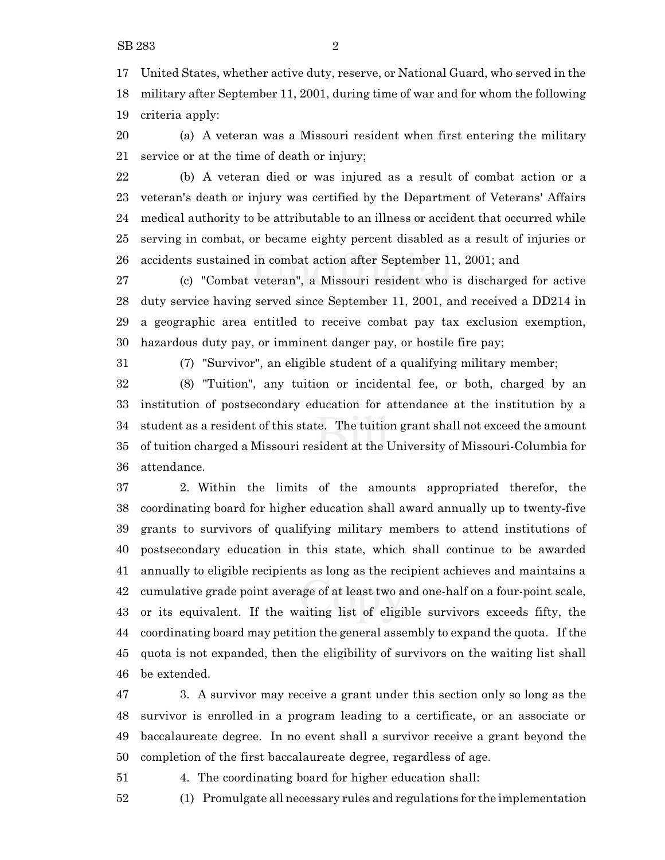United States, whether active duty, reserve, or National Guard, who served in the military after September 11, 2001, during time of war and for whom the following criteria apply:

 (a) A veteran was a Missouri resident when first entering the military service or at the time of death or injury;

 (b) A veteran died or was injured as a result of combat action or a veteran's death or injury was certified by the Department of Veterans' Affairs medical authority to be attributable to an illness or accident that occurred while serving in combat, or became eighty percent disabled as a result of injuries or accidents sustained in combat action after September 11, 2001; and

 (c) "Combat veteran", a Missouri resident who is discharged for active duty service having served since September 11, 2001, and received a DD214 in a geographic area entitled to receive combat pay tax exclusion exemption, hazardous duty pay, or imminent danger pay, or hostile fire pay;

(7) "Survivor", an eligible student of a qualifying military member;

 (8) "Tuition", any tuition or incidental fee, or both, charged by an institution of postsecondary education for attendance at the institution by a student as a resident of this state. The tuition grant shall not exceed the amount of tuition charged a Missouri resident at the University of Missouri-Columbia for attendance.

 2. Within the limits of the amounts appropriated therefor, the coordinating board for higher education shall award annually up to twenty-five grants to survivors of qualifying military members to attend institutions of postsecondary education in this state, which shall continue to be awarded annually to eligible recipients as long as the recipient achieves and maintains a cumulative grade point average of at least two and one-half on a four-point scale, or its equivalent. If the waiting list of eligible survivors exceeds fifty, the coordinating board may petition the general assembly to expand the quota. If the quota is not expanded, then the eligibility of survivors on the waiting list shall be extended.

 3. A survivor may receive a grant under this section only so long as the survivor is enrolled in a program leading to a certificate, or an associate or baccalaureate degree. In no event shall a survivor receive a grant beyond the completion of the first baccalaureate degree, regardless of age.

4. The coordinating board for higher education shall:

(1) Promulgate all necessary rules and regulations for the implementation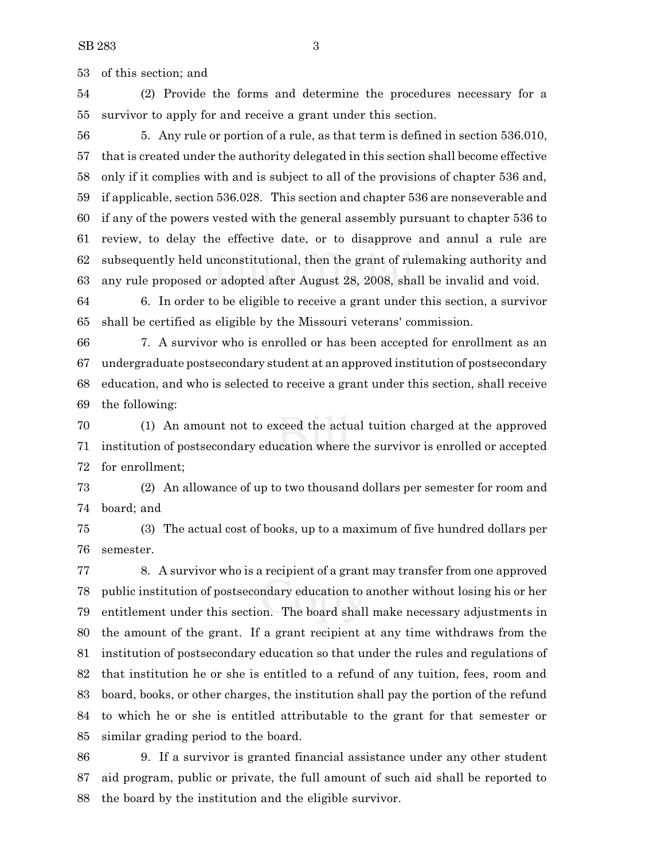of this section; and

 (2) Provide the forms and determine the procedures necessary for a survivor to apply for and receive a grant under this section.

 5. Any rule or portion of a rule, as that term is defined in section 536.010, that is created under the authority delegated in this section shall become effective only if it complies with and is subject to all of the provisions of chapter 536 and, if applicable, section 536.028. This section and chapter 536 are nonseverable and if any of the powers vested with the general assembly pursuant to chapter 536 to review, to delay the effective date, or to disapprove and annul a rule are subsequently held unconstitutional, then the grant of rulemaking authority and any rule proposed or adopted after August 28, 2008, shall be invalid and void.

 6. In order to be eligible to receive a grant under this section, a survivor shall be certified as eligible by the Missouri veterans' commission.

 7. A survivor who is enrolled or has been accepted for enrollment as an undergraduate postsecondary student at an approved institution of postsecondary education, and who is selected to receive a grant under this section, shall receive the following:

 (1) An amount not to exceed the actual tuition charged at the approved institution of postsecondary education where the survivor is enrolled or accepted for enrollment;

 (2) An allowance of up to two thousand dollars per semester for room and board; and

 (3) The actual cost of books, up to a maximum of five hundred dollars per semester.

 8. A survivor who is a recipient of a grant may transfer from one approved public institution of postsecondary education to another without losing his or her entitlement under this section. The board shall make necessary adjustments in the amount of the grant. If a grant recipient at any time withdraws from the institution of postsecondary education so that under the rules and regulations of that institution he or she is entitled to a refund of any tuition, fees, room and board, books, or other charges, the institution shall pay the portion of the refund to which he or she is entitled attributable to the grant for that semester or similar grading period to the board.

 9. If a survivor is granted financial assistance under any other student aid program, public or private, the full amount of such aid shall be reported to the board by the institution and the eligible survivor.